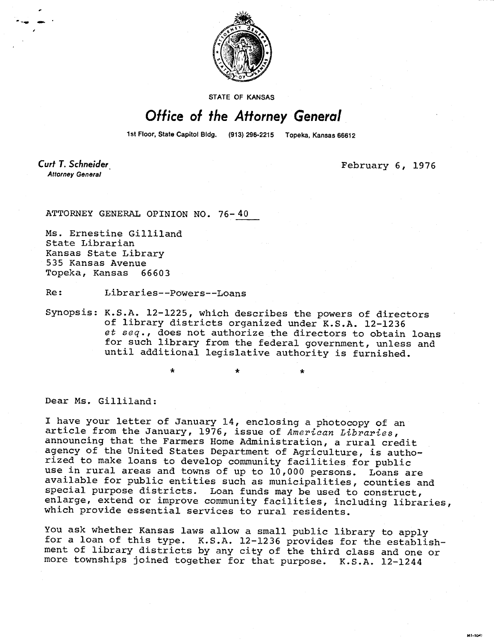

STATE OF KANSAS

## Office of the Attorney General

1st Floor, State Capitol Bldg. (913) 296-2215 Topeka, Kansas 66612

**Curt T. Schneider Attorney General** 

February 6, 1976

MI-TOA

ATTORNEY GENERAL OPINION NO. 76-40

Ms. Ernestine Gilliland State Librarian Kansas State Library 535 Kansas Avenue Topeka, Kansas 66603

Re: Libraries--Powers--Loans

Synopsis: K.S.A. 12-1225, which describes the powers of directors of library districts organized under K.S.A. 12-1236 et seq., does not authorize the directors to obtain loans for such library from the federal government, unless and until additional legislative authority is furnished.

Dear Ms. Gilliland:

I have your letter of January 14, enclosing a photocopy of an article from the January, 1976, issue of American Libraries, announcing that the Farmers Home Administration, a rural credit agency of the United States Department of Agriculture, is authorized to make loans to develop community facilities for public use in rural areas and towns of up to 10,000 persons. Loans are available for public entities such as municipalities, counties and special purpose districts. Loan funds may be used to construct, enlarge, extend or improve community facilities, including libraries, which provide essential services to rural residents.

You ask whether Kansas laws allow a small public library to apply for a loan of this type. K.S.A. 12-1236 provides for the establishment of library districts by any city of the third class and one or more townships joined together for that purpose. K.S.A. 12-1244